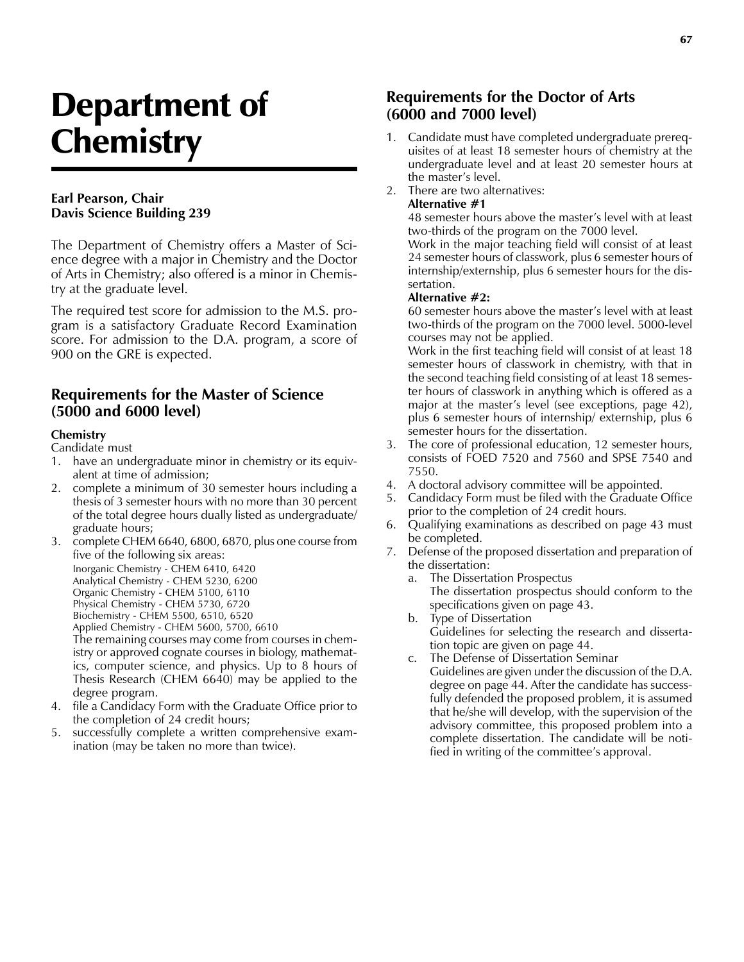# Department of **Chemistry**

#### **Earl Pearson, Chair Davis Science Building 239**

The Department of Chemistry offers a Master of Science degree with a major in Chemistry and the Doctor of Arts in Chemistry; also offered is a minor in Chemistry at the graduate level.

The required test score for admission to the M.S. program is a satisfactory Graduate Record Examination score. For admission to the D.A. program, a score of 900 on the GRE is expected.

# **Requirements for the Master of Science (5000 and 6000 level)**

#### **Chemistry**

Candidate must

- 1. have an undergraduate minor in chemistry or its equivalent at time of admission;
- 2. complete a minimum of 30 semester hours including a thesis of 3 semester hours with no more than 30 percent of the total degree hours dually listed as undergraduate/ graduate hours;
- 3. complete CHEM 6640, 6800, 6870, plus one course from five of the following six areas: Inorganic Chemistry - CHEM 6410, 6420 Analytical Chemistry - CHEM 5230, 6200 Organic Chemistry - CHEM 5100, 6110 Physical Chemistry - CHEM 5730, 6720 Biochemistry - CHEM 5500, 6510, 6520 Applied Chemistry - CHEM 5600, 5700, 6610 The remaining courses may come from courses in chemistry or approved cognate courses in biology, mathematics, computer science, and physics. Up to 8 hours of Thesis Research (CHEM 6640) may be applied to the degree program.
- 4. file a Candidacy Form with the Graduate Office prior to the completion of 24 credit hours;
- 5. successfully complete a written comprehensive examination (may be taken no more than twice).

# **Requirements for the Doctor of Arts (6000 and 7000 level)**

- 1. Candidate must have completed undergraduate prerequisites of at least 18 semester hours of chemistry at the undergraduate level and at least 20 semester hours at the master's level.
- 2. There are two alternatives: **Alternative #1**

48 semester hours above the master's level with at least two-thirds of the program on the 7000 level.

Work in the major teaching field will consist of at least 24 semester hours of classwork, plus 6 semester hours of internship/externship, plus 6 semester hours for the dissertation.

#### **Alternative #2:**

60 semester hours above the master's level with at least two-thirds of the program on the 7000 level. 5000-level courses may not be applied.

Work in the first teaching field will consist of at least 18 semester hours of classwork in chemistry, with that in the second teaching field consisting of at least 18 semester hours of classwork in anything which is offered as a major at the master's level (see exceptions, page 42), plus 6 semester hours of internship/ externship, plus 6 semester hours for the dissertation.

- 3. The core of professional education, 12 semester hours, consists of FOED 7520 and 7560 and SPSE 7540 and 7550.
- 4. A doctoral advisory committee will be appointed.
- 5. Candidacy Form must be filed with the Graduate Office prior to the completion of 24 credit hours.
- 6. Qualifying examinations as described on page 43 must be completed.
- 7. Defense of the proposed dissertation and preparation of the dissertation:
	- a. The Dissertation Prospectus The dissertation prospectus should conform to the specifications given on page 43.
	- b. Type of Dissertation Guidelines for selecting the research and dissertation topic are given on page 44.
	- c. The Defense of Dissertation Seminar Guidelines are given under the discussion of the D.A. degree on page 44. After the candidate has successfully defended the proposed problem, it is assumed that he/she will develop, with the supervision of the advisory committee, this proposed problem into a complete dissertation. The candidate will be notified in writing of the committee's approval.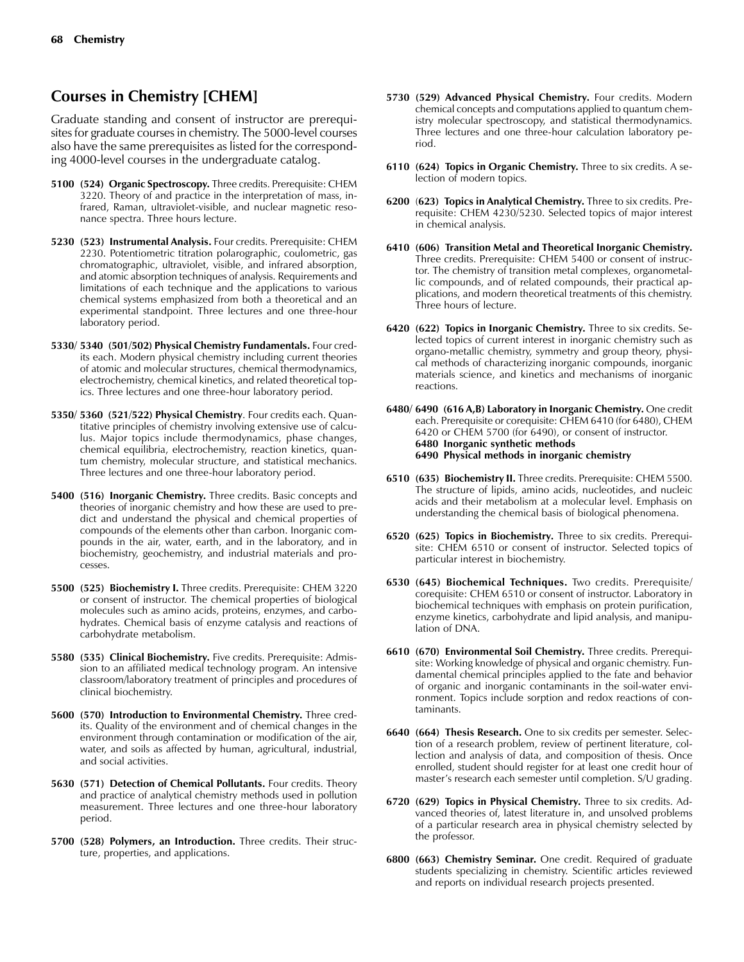# **Courses in Chemistry [CHEM]**

Graduate standing and consent of instructor are prerequisites for graduate courses in chemistry. The 5000-level courses also have the same prerequisites as listed for the corresponding 4000-level courses in the undergraduate catalog.

- **5100 (524) Organic Spectroscopy.** Three credits. Prerequisite: CHEM 3220. Theory of and practice in the interpretation of mass, infrared, Raman, ultraviolet-visible, and nuclear magnetic resonance spectra. Three hours lecture.
- **5230 (523) Instrumental Analysis.** Four credits. Prerequisite: CHEM 2230. Potentiometric titration polarographic, coulometric, gas chromatographic, ultraviolet, visible, and infrared absorption, and atomic absorption techniques of analysis. Requirements and limitations of each technique and the applications to various chemical systems emphasized from both a theoretical and an experimental standpoint. Three lectures and one three-hour laboratory period.
- **5330/ 5340 (501/502) Physical Chemistry Fundamentals.** Four credits each. Modern physical chemistry including current theories of atomic and molecular structures, chemical thermodynamics, electrochemistry, chemical kinetics, and related theoretical topics. Three lectures and one three-hour laboratory period.
- **5350/ 5360 (521/522) Physical Chemistry**. Four credits each. Quantitative principles of chemistry involving extensive use of calculus. Major topics include thermodynamics, phase changes, chemical equilibria, electrochemistry, reaction kinetics, quantum chemistry, molecular structure, and statistical mechanics. Three lectures and one three-hour laboratory period.
- **5400 (516) Inorganic Chemistry.** Three credits. Basic concepts and theories of inorganic chemistry and how these are used to predict and understand the physical and chemical properties of compounds of the elements other than carbon. Inorganic compounds in the air, water, earth, and in the laboratory, and in biochemistry, geochemistry, and industrial materials and processes.
- **5500 (525) Biochemistry I.** Three credits. Prerequisite: CHEM 3220 or consent of instructor. The chemical properties of biological molecules such as amino acids, proteins, enzymes, and carbohydrates. Chemical basis of enzyme catalysis and reactions of carbohydrate metabolism.
- **5580 (535) Clinical Biochemistry.** Five credits. Prerequisite: Admission to an affiliated medical technology program. An intensive classroom/laboratory treatment of principles and procedures of clinical biochemistry.
- **5600 (570) Introduction to Environmental Chemistry.** Three credits. Quality of the environment and of chemical changes in the environment through contamination or modification of the air, water, and soils as affected by human, agricultural, industrial, and social activities.
- **5630 (571) Detection of Chemical Pollutants.** Four credits. Theory and practice of analytical chemistry methods used in pollution measurement. Three lectures and one three-hour laboratory period.
- **5700 (528) Polymers, an Introduction.** Three credits. Their structure, properties, and applications.
- **5730 (529) Advanced Physical Chemistry.** Four credits. Modern chemical concepts and computations applied to quantum chemistry molecular spectroscopy, and statistical thermodynamics. Three lectures and one three-hour calculation laboratory period.
- **6110 (624) Topics in Organic Chemistry.** Three to six credits. A selection of modern topics.
- **6200** (**623) Topics in Analytical Chemistry.** Three to six credits. Prerequisite: CHEM 4230/5230. Selected topics of major interest in chemical analysis.
- **6410 (606) Transition Metal and Theoretical Inorganic Chemistry.** Three credits. Prerequisite: CHEM 5400 or consent of instructor. The chemistry of transition metal complexes, organometallic compounds, and of related compounds, their practical applications, and modern theoretical treatments of this chemistry. Three hours of lecture.
- **6420 (622) Topics in Inorganic Chemistry.** Three to six credits. Selected topics of current interest in inorganic chemistry such as organo-metallic chemistry, symmetry and group theory, physical methods of characterizing inorganic compounds, inorganic materials science, and kinetics and mechanisms of inorganic reactions.
- **6480/ 6490 (616 A,B) Laboratory in Inorganic Chemistry.** One credit each. Prerequisite or corequisite: CHEM 6410 (for 6480), CHEM 6420 or CHEM 5700 (for 6490), or consent of instructor. **6480 Inorganic synthetic methods 6490 Physical methods in inorganic chemistry**
- **6510 (635) Biochemistry II.** Three credits. Prerequisite: CHEM 5500. The structure of lipids, amino acids, nucleotides, and nucleic acids and their metabolism at a molecular level. Emphasis on understanding the chemical basis of biological phenomena.
- **6520 (625) Topics in Biochemistry.** Three to six credits. Prerequisite: CHEM 6510 or consent of instructor. Selected topics of particular interest in biochemistry.
- **6530 (645) Biochemical Techniques.** Two credits. Prerequisite/ corequisite: CHEM 6510 or consent of instructor. Laboratory in biochemical techniques with emphasis on protein purification, enzyme kinetics, carbohydrate and lipid analysis, and manipulation of DNA.
- **6610 (670) Environmental Soil Chemistry.** Three credits. Prerequisite: Working knowledge of physical and organic chemistry. Fundamental chemical principles applied to the fate and behavior of organic and inorganic contaminants in the soil-water environment. Topics include sorption and redox reactions of contaminants.
- **6640 (664) Thesis Research.** One to six credits per semester. Selection of a research problem, review of pertinent literature, collection and analysis of data, and composition of thesis. Once enrolled, student should register for at least one credit hour of master's research each semester until completion. S/U grading.
- **6720 (629) Topics in Physical Chemistry.** Three to six credits. Advanced theories of, latest literature in, and unsolved problems of a particular research area in physical chemistry selected by the professor.
- **6800 (663) Chemistry Seminar.** One credit. Required of graduate students specializing in chemistry. Scientific articles reviewed and reports on individual research projects presented.